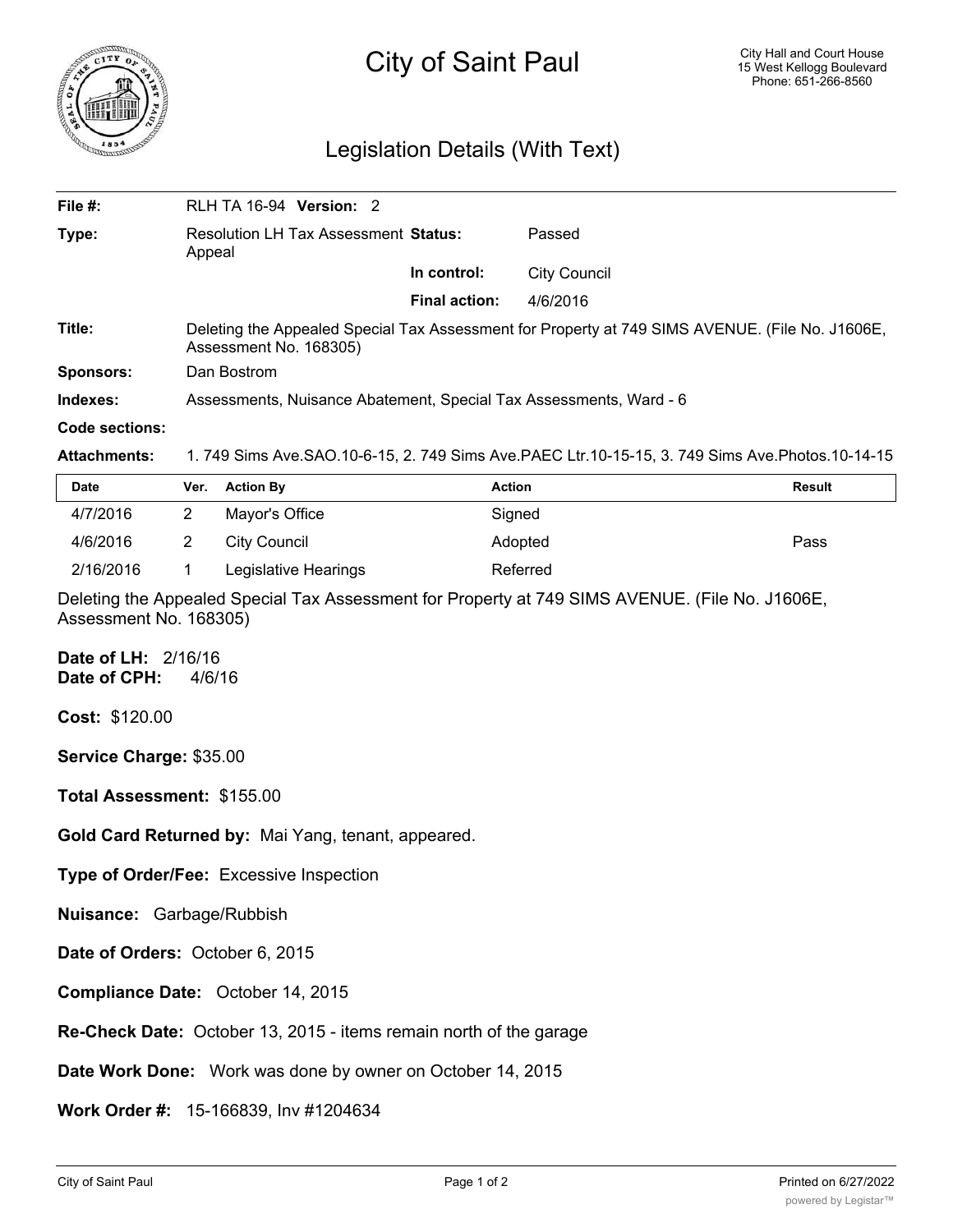

## Legislation Details (With Text)

| File #:             | <b>RLH TA 16-94 Version: 2</b>                                                                                            |                      |                                                                                                       |  |  |
|---------------------|---------------------------------------------------------------------------------------------------------------------------|----------------------|-------------------------------------------------------------------------------------------------------|--|--|
| Type:               | <b>Resolution LH Tax Assessment Status:</b><br>Appeal                                                                     |                      | Passed                                                                                                |  |  |
|                     |                                                                                                                           | In control:          | <b>City Council</b>                                                                                   |  |  |
|                     |                                                                                                                           | <b>Final action:</b> | 4/6/2016                                                                                              |  |  |
| Title:              | Deleting the Appealed Special Tax Assessment for Property at 749 SIMS AVENUE. (File No. J1606E,<br>Assessment No. 168305) |                      |                                                                                                       |  |  |
| Sponsors:           | Dan Bostrom                                                                                                               |                      |                                                                                                       |  |  |
| Indexes:            | Assessments, Nuisance Abatement, Special Tax Assessments, Ward - 6                                                        |                      |                                                                                                       |  |  |
| Code sections:      |                                                                                                                           |                      |                                                                                                       |  |  |
| <b>Attachments:</b> |                                                                                                                           |                      | 1. 749 Sims Ave. SAO. 10-6-15, 2. 749 Sims Ave. PAEC Ltr. 10-15-15, 3. 749 Sims Ave. Photos. 10-14-15 |  |  |
|                     |                                                                                                                           |                      |                                                                                                       |  |  |

| Date      | Ver. | <b>Action By</b>     | <b>Action</b> | <b>Result</b> |
|-----------|------|----------------------|---------------|---------------|
| 4/7/2016  |      | Mayor's Office       | Sianed        |               |
| 4/6/2016  |      | City Council         | Adopted       | Pass          |
| 2/16/2016 |      | Legislative Hearings | Referred      |               |

Deleting the Appealed Special Tax Assessment for Property at 749 SIMS AVENUE. (File No. J1606E, Assessment No. 168305)

**Date of LH:** 2/16/16 **Date of CPH:** 4/6/16

**Cost:** \$120.00

**Service Charge:** \$35.00

**Total Assessment:** \$155.00

**Gold Card Returned by:** Mai Yang, tenant, appeared.

**Type of Order/Fee:** Excessive Inspection

**Nuisance:** Garbage/Rubbish

**Date of Orders:** October 6, 2015

**Compliance Date:** October 14, 2015

**Re-Check Date:** October 13, 2015 - items remain north of the garage

**Date Work Done:** Work was done by owner on October 14, 2015

**Work Order #:** 15-166839, Inv #1204634